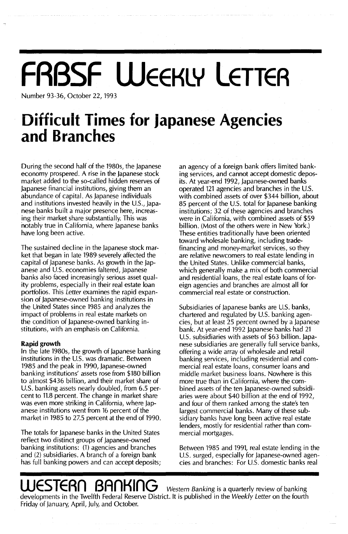# **FRBSF WEEKLY LETTEA - ."". ....... ,.. .. UITTlcUlt limeS tor Japanese Agencies** .- . **and Hranches**

Number 93-36, October 22, 1993

During the second half of the 1980s, the Japanese economy prospered. A rise in the japanese stock market added to the so-called hidden reserves of Japanese financial institutions, giving them an abundance of capital. As Japanese individuals and institutions invested heavily in the U.s., Japanese banks built a major presence here, increasing their market share substantially. This was notably true in California, where Japanese banks have long been active.

The sustained decline in the Japanese stock market that began in late 1989 severely affected the capital of Japanese banks. As growth in the japanese and U.S. economies faltered, Japanese banks also faced increasingly serious asset quality problems, especially in their real estate loan portfolios. This Letter examines the rapid expansion of Japanese-owned banking institutions in the United States since 1985 and analyzes the impact of problems in real estate markets on the condition of japanese-owned banking institutions, with an emphasis on California.

### **Rapid growth**

In the late 1980s, the growth of japanese banking institutions in the U.S. was dramatic. Between 1985 and the peak in 1990, Japanese-owned banking institutions' assets rose from \$180 billion to almost \$436 billion, and their market share of U.S. banking assets nearly doubled, from 6.5 percent to 11.8 percent. The change in market share was even more striking in California, where Japanese institutions went from 16 percent of the market in 1985 to 27.5 percent at the end of 1990.

The totals for Japanese banks in the United States reflect two distinct groups of Japanese-owned banking institutions: (1) agencies and branches and (2) subsidiaries. A branch of a foreign bank has full banking powers and can accept deposits; an agency of a foreign bank offers limited banking services, and cannot accept domestic deposits. At year-end 1992, Japanese-owned banks operated 121 agencies and branches in the U.s. with combined assets of over \$344 billion, about 85 percent of the U.S. total for Japanese banking institutions; 32 of these agencies and branches were in California, with combined assets of \$59 billion. (Most of the others were in New York.) These entities traditionally have been oriented toward wholesale banking, including tradefinancing and money-market services, so they are relative newcomers to real estate lending in the United States. Unlike commercial banks, which generally make a mix of both commercial and residential loans, the real estate loans of foreign agencies and branches are almost all for commercial real estate or construction.

Subsidiaries of japanese banks are U.S. banks, chartered and regulated by U.S. banking agencies, but at least 25 percent owned by a Japanese bank. At year-end 1992 Japanese banks had 21 U.s. subsidiaries with assets of \$63 billion. Japanese subsidiaries are generally full service banks, offering a wide array of wholesale and retail banking services, including residential and commercial real estate loans, consumer loans and middle market business loans. Nowhere is this more true than in California, where the combined assets of the ten japanese-owned subsidiaries were about \$40 billion at the end of 1992, and four of them ranked among the state's ten largest commercial banks. Many of these subsidiary banks have long been active real estate lenders, mostly for residential rather than commercial mortgages.

Between 1985 and 1991, real estate lending in the U.S. surged, especially for Japanese-owned agencies and branches: For U.S. domestic banks real

## **ESTERN BANKING** Western Banking is a quarterly review of banking

developments in the Twelfth Federal Reserve District. It is published in the Weekly Letter on the fourth Friday of january, April, July, and October.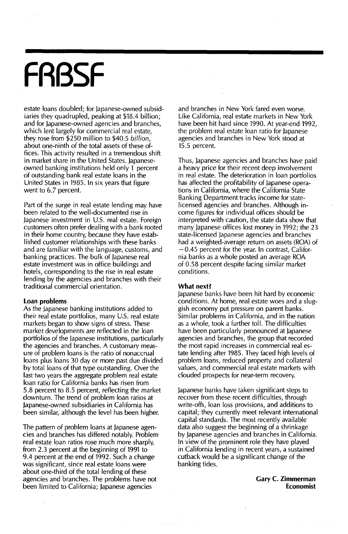## **FRBSF**

estate loans doubled; for Japanese-owned subsidiaries they quadrupled, peaking at \$18.4 billion; and for japanese-owned agencies and branches, which lent largely for commercial real estate, they rose from \$250 million to \$40.5 *billion,* about one-ninth of the total assets of these offices. This activity resulted in a tremendous shift in market share in the United States. japaneseowned banking institutions held only 1 percent of outstanding bank real estate loans in the United States in 1985. In six years that figure went to 6.7 percent.

Part of the surge in real estate lending may have been related to the well-documented rise in Japanese investment in U.S. real estate. Foreign customers often prefer dealing with a bank rooted in their home country, because they have established customer relationships with these banks and are familiar with the language, customs, and banking practices. The bulk of japanese real estate investment was in office buildings and hotels, corresponding to the rise in real estate lending by the agencies and branches with their traditional commercial orientation.

### **Loan problems**

As the Japanese banking institutions added to their real estate portfolios, many U.s. real estate markets began to show signs of stress. These market developments are reflected in the loan portfolios of the Japanese institutions, particularly the agencies and branches. A customary measure of problem loans is the ratio of nonaccrual loans plus loans 30 day or more past due divided by total loans of that type outstanding. Over the last two years the aggregate problem real estate loan ratio for California banks has risen from 5.8 percent to 8.5 percent, reflecting the market downturn. The trend of problem loan ratios at japanese-owned subsidiaries in California has been similar, although the level has been higher.

The pattern of problem loans at japanese agencies and branches has differed notably. Problem real estate loan ratios rose much more sharply, from 2.3 percent at the beginning of 1991 to 9.4 percent at the end of 1992. Such a change was significant, since real estate loans were about one-third of the total lending of these agencies and branches. The problems have not been limited to California; lapanese agencies

and branches in New York fared even worse. **Like** California, real estate markets in New York have been hit hard since 1990. At year-end 1992, **the problem rea! estate loan ratio for Japanese** agencies and branches in New York stood at 15.5 percent.

Thus, japanese agencies and branches have paid a heavy price for their recent deep involvement in real estate. The deterioration in loan portfolios has affected the profitability of japanese operations in California, where the California State Banking Department tracks income for statelicensed agencies and branches. Although income figures for individual offices should be interpreted with caution, the state data show that many japanese offices lost money in 1992; the 23 state-licensed japanese agencies and branches had a weighted-average return on assets (ROA) of - 0.45 percent for the year. In contrast, California banks as a whole posted an average ROA of 0.58 percent despite facing similar market conditions.

### **What next?**

japanese banks have been hit hard by economic conditions. At home, real estate woes and a sluggish economy put pressure on parent banks. Similar problems in California, and in the nation as a whole, took a further toll. The difficulties have been particularly pronounced at Japanese agencies and branches, the group that recorded the most rapid increases in commercial real estate lending after 1985. They faced high levels of problem loans, reduced property and collateral values, and commercial real estate markets with clouded prospects for near-term recovery.

Japanese banks have taken significant steps to recover from these recent difficulties, through write-offs, loan loss provisions, and additions to capital; they currently meet relevant international capital standards. The most recently available data also suggest the beginning of a shrinkage by Japanese agencies and branches in California. In view of the prominent role they have played in California lending in recent years, a sustained cutback would be a significant change of the banking tides.

> **Gary C. Zimmerman Economist**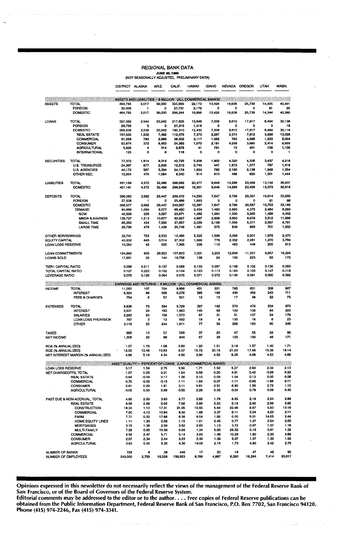### REGIONAL BANK DATA **JUNE 30, 1993<br>(NOT SEASONALLY ADJUSTED, PRELIMINARY DATA)**

|                                               |                                         | <b>DISTRICT</b>                                            | ALASKA             | ARIZ.           | CALIF.            | <b>HAWAII</b>            | <b>IDAHO</b>   | <b>NEVADA</b>                | OREGON         | <b>UTAH</b>    | WASH.           |
|-----------------------------------------------|-----------------------------------------|------------------------------------------------------------|--------------------|-----------------|-------------------|--------------------------|----------------|------------------------------|----------------|----------------|-----------------|
|                                               |                                         |                                                            |                    |                 |                   |                          |                |                              |                |                |                 |
|                                               |                                         | ASSETS AND LIABILITIES - \$ MILLION (ALL COMMERCIAL BANKS) |                    |                 |                   |                          |                |                              |                |                |                 |
| <b>ASSETS</b>                                 | <b>TOTAL</b><br><b>FOREIGN</b>          | 494.793<br>30,008                                          | 5,017<br>1         | 36,000<br>o     | 323,995<br>27,751 | 22,173<br>2,176          | 10,426<br>0    | 16,638<br>0                  | 25,739<br>o    | 14,405<br>61   | 40,401<br>20    |
|                                               | DOMESTIC                                | 464.785                                                    | 5,017              | 36,000          | 296,244           | 19,998                   | 10,426         | 16,638                       | 25,739         | 14,344         | 40.380          |
| LOANS                                         | TOTAL                                   | 327,592                                                    | 2,544              | 20242           | 217,625           | 13.848                   | 7,208          | 9,610                        | 17,917         | 8,464          | 30,136          |
|                                               | <b>FOREIGN</b>                          | 26,756                                                     | 5                  | 0               | 27,315            | 1,418                    | 0              | 0                            | 0              | 0              | 18              |
|                                               | DOMESTIC                                | 298,836                                                    | 2,538              | 20,242          | 190,310           | 12,430                   | 7,208          | 9,610                        | 17,917         | 8,464          | 30,118          |
|                                               | <b>REAL ESTATE</b><br><b>COMMERCIAL</b> | 157,525<br>61,558                                          | 1,232<br>793       | 7.482<br>2,666  | 112,475<br>38,402 | 7,373<br>3,117           | 2,287<br>1,562 | 2,374<br>793                 | 7,612<br>4,589 | 3,666<br>1,633 | 13,026<br>8,004 |
|                                               | CONSUMER                                | 53,674                                                     | 372                | 6,453           | 24,392            | 1,070                    | 2,181          | 6,259                        | 3,680          | 2,414          | 6,855           |
|                                               | <b>AGRICULTURAL</b>                     | 5,830                                                      | 4                  | 314             | 2,979             | 41                       | 781            | 13                           | 431            | 158            | 1,108           |
|                                               | <b>INTERNATIONAL</b>                    | 125                                                        | ٥                  | 8               | 116               | 0                        | 0              | o                            | $\Omega$       | ٥              |                 |
| <b>SECURITIES</b>                             | <b>TOTAL</b>                            | 77,372                                                     | 1,914              | 9,314           | 42,725            | 5,208                    | 1,902          | 4,320                        | 4,335          | 3,437          | 4,216           |
|                                               | <b>U.S. TREASURIES</b>                  | 24,367                                                     | 877                | 2,836           | 12,212            | 2,740                    | 447            | 1,673                        | 1,377          | 787            | 1,418           |
|                                               | <b>U.S. AGENCIES</b>                    | 40,172                                                     | 567                | 5,394           | 24,174            | 1,954                    | 782            | 2,160                        | 2,138          | 1,649          | 1,354           |
|                                               | OTHER SEC.                              | 12,834                                                     | 470                | 1,084           | 6,340             | 514                      | 673            | 488                          | 820            | 1,001          | 1,444           |
| <b>LIABILITIES</b>                            | <b>TOTAL</b>                            | 451,189                                                    | 4,372              | 32,486          | 296,692           | 20,477                   | 9,646          | 14,286                       | 23,458         | 13,134         | 36,637          |
|                                               | DOMESTIC                                | 421,181                                                    | 4,372              | 32,486          | 268,942           | 18,301                   | 9,646          | 14,286                       | 23,458         | 13,073         | 36,616          |
| DEPOSITS                                      | <b>TOTAL</b>                            | 396,085                                                    | 3,582              | 29,447          | 266,472           | 14,280                   | 7,847<br>٥     | 9,796<br>$\ddot{\mathbf{0}}$ | 20,587<br>o    | 10,814         | 33,260          |
|                                               | <b>FOREIGN</b><br>DOMESTIC              | 27,508<br>368,577                                          | 1<br>3,582         | 0<br>29,447     | 25,486<br>240,987 | 1,893<br>12,387          | 7,847          | 9,796                        | 20,587         | 61<br>10,753   | 68<br>33.192    |
|                                               | DEMAND                                  | 94,889                                                     | 1,094              | 6,577           | 65,490            | 2,434                    | 1,493          | 2,663                        | 4,375          | 2.484          | 8,260           |
|                                               | <b>NOW</b>                              | 40,598                                                     | 329                | 3,297           | 23,971            | 1,462                    | 1,004          | 1,330                        | 3,265          | 1.488          | 4,452           |
|                                               | <b>MMDA &amp; SAVINGS</b>               | 138,727                                                    | 1,213              | 10,877          | 92,927            | 4,967                    | 2,609          | 3,953                        | 6,679          | 3,512          | 11,989          |
|                                               | <b>SMALL TIME</b>                       | 65,259                                                     | 434                | 7,259           | 37,657            | 2,039                    | 2.166          | 1,006                        | 5,371          | 2,567          | 6,761           |
|                                               | <b>LARGE TIME</b>                       | 28,798                                                     | 476                | 1,436           | 20,749            | 1,481                    | 575            | 839                          | 889            | 701            | 1,652           |
| OTHER BORROWINGS                              |                                         | 32,741                                                     | 753                | 2,533           | 12,485            | 5,325                    | 1,599          | 3,398                        | 2,201          | 1,976          | 2,470           |
| EQUITY CAPITAL                                |                                         | 43,602<br>10,054                                           | 645<br>42          | 3,514<br>555    | 27,302<br>7,365   | 1,696<br>238             | 778<br>110     | 2,352<br>483                 | 2,261<br>448   | 1,270<br>200   | 3,764<br>613    |
| <b>LOAN LOSS RESERVE</b>                      |                                         |                                                            |                    |                 |                   |                          |                |                              |                |                |                 |
| LOAN COMMITTMENTS<br>LOANS SOLD               |                                         | 194,960<br>17,651                                          | 605<br>32          | 29,553<br>144   | 107,803<br>16,758 | 7,001<br>139             | 3,203<br>24    | 12,656<br>100                | 11,257<br>223  | 6,657<br>63    | 16,224<br>. 170 |
|                                               |                                         |                                                            |                    |                 |                   |                          |                |                              |                |                |                 |
| <b>TIER1 CAPITAL RATIO</b>                    |                                         | 0.098                                                      | 0.211              | 0.137           | 0.089             | 0.103                    | 0.097          | 0.169                        | 0.102          | 0.130          | 0.093           |
| TOTAL CAPITAL RATIO                           |                                         | 0.127                                                      | 0.223              | 0.152           | 0.124             | 0.123                    | 0.113          | 0.183                        | 0.120          | 0.147<br>0.090 | 0.116<br>0.082  |
| <b>LEVERAGE RATIO</b>                         |                                         | 0.079                                                      | 0.129              | 0.084           | 0.075             | 0.071                    | 0.072          | 0.130                        | 0.081          |                |                 |
| $\sim$                                        |                                         | EARNINGS AND RETURNS -- \$ MILLION (ALL COMMERCIAL BANKS)  |                    |                 |                   |                          |                |                              |                |                |                 |
| <b>INCOME</b>                                 | <b>TOTAL</b>                            | 11,000                                                     | 107                | 724             | 6,886             | 431                      | 221            | 765                          | 631            | 309            | 927             |
|                                               | <b>INTEREST</b>                         | 8,324                                                      | 88                 | 568             | 5,276             | 365                      | 186            | 430                          | 456            | 243            | 711             |
|                                               | <b>FEES &amp; CHARGES</b>               | 754                                                        | 6                  | 57              | 501               | 12                       | 15             | 17                           | 48             | 22             | 75              |
| <b>EXPENSES</b>                               | <b>TOTAL</b>                            | 8,839                                                      | 75                 | 594             | 5,729             | 327                      | 162            | 570                          | 476            | 234            | 670             |
|                                               | <b>INTEREST</b>                         | 2,631                                                      | 24                 | 183             | 1,663             | 145                      | 69             | 100                          | 138            | 84             | 223             |
|                                               | <b>SALARIES</b>                         | 2,293                                                      | 25                 | 156             | 1,573             | 87                       | 31             | 51                           | 137            | 54             | 179             |
|                                               | LOAN LOSS PROVISION<br><b>OTHER</b>     | 797<br>3,118                                               | з<br>23            | 12<br>244       | 582<br>1,911      | 18<br>77                 | 6<br>56        | 130<br>288                   | 18<br>183      | 6<br>90        | 23<br>245       |
|                                               |                                         |                                                            |                    |                 |                   |                          |                |                              |                |                |                 |
| <b>TAXES</b><br><b>NET INCOME</b>             |                                         | 886<br>1,308                                               | 10<br>22           | 57<br>96        | 529<br>640        | 37<br>67                 | 20<br>39       | 67<br>125                    | 55<br>100      | 26<br>49       | 85<br>171       |
|                                               |                                         |                                                            |                    |                 |                   |                          |                |                              |                |                |                 |
| <b>FIOA (% ANNUALIZED)</b>                    |                                         | 1.07<br>12.00                                              | 1.76<br>13.46      | 1.08<br>10.93   | 0.80<br>9.37      | 1.20<br>15.72            | 1.51<br>20.16  | 3.18<br>21.23                | 1.57<br>17.56  | 1.40<br>15.38  | 1.71<br>18.14   |
| ROE (% ANNUALIZED)                            | NET INTEREST MARGIN (% ANNUALIZED)      | 4.66                                                       | 5.18               | 4.34            | 4.50              | 3.96                     | 4.50           | 8.39                         | 4.98           | 4.53           | 4.89            |
|                                               |                                         |                                                            |                    |                 |                   |                          |                |                              |                |                |                 |
|                                               |                                         | ASSET QUALITY - PERCENT OF LOANS                           |                    |                 |                   | (LARGE COMMERCIAL BANKS) |                |                              |                |                |                 |
| LOAN LOSS RESERVE                             |                                         | 3.17                                                       | 1.59               | 2.75            | 3.50              | 1.71                     | 1.50           | 5.27                         | 2.60           | 2.34           | 2.13            |
| NET CHARGEOFFS, TOTAL                         |                                         | 1.07                                                       | 0.08               | 0.31            | 1.24              | 0.58                     | 0.20<br>0.09   | 4.91<br>1.04                 | 0.42<br>0.13   | -0.29<br>0.00  | 0.33<br>0.06    |
|                                               | <b>REAL ESTATE</b><br><b>COMMERCIAL</b> | 0.94<br>0.72                                               | $-0.09$<br>$-0.02$ | 0.17<br>$-3.15$ | 1.26<br>1.11      | 0.10<br>1.64             | -0.07          | -1.11                        | -0.02          | $-1.66$        | 0.11            |
|                                               | CONSUMER                                | 2.81                                                       | 0.29               | 1.91            | 3.11              | 0.81                     | 0.51           | 6.90                         | 1.55           | 0.72           | 1.10            |
|                                               | AGRICULTURAL                            | $-0.05$                                                    | 0.00               | 0.98            | $-0.55$           | 2.28                     | 0.32           | $-0.04$                      | 0.78           | 0.09           | 0.40            |
|                                               | PAST DUE & NON-ACCRUAL, TOTAL           | 4.89                                                       | 2.59               | 3.83            | 5.77              | 2.82                     | 1.76           | 6.65                         | 2.18           | 2.24           | 2.89            |
|                                               | <b>REAL ESTATE</b>                      | 6.58                                                       | 2.69               | 6.05            | 7.66              | 2.89                     | 2.25           | 8.19                         | 2.60           | 2.99           | 3.85            |
|                                               | CONSTRUCTION                            | 18.34                                                      | 1.10               | 17.31           | 21.05             | 10.55                    | 5.64           | 22.96                        | 6.87           | 5.83           | 13.18           |
|                                               | <b>COMMERCIAL</b>                       | 7.00                                                       | 4.10               | 10.94           | 8.30              | 1.68                     | 3.37           | 6.11                         | 3.54           | 4.23           | 2.11            |
|                                               | FARM                                    | 7.71                                                       | 0.00               | 17.88           | 8.38              | 9.04                     | 1.82           | 0.00                         | 5.21           | 14.05          | 2.44            |
|                                               | HOME EQUITY LINES                       | 1.11                                                       | 1.30               | 0.56            | 1.15              | 1.01                     | 0.45           | 0.77                         | 1.37           | 0.54           | 2.00            |
|                                               | <b>MORTGAGES</b>                        | 3.19                                                       | 1.38               | 2.26            | 3.82              | 2.65                     | 1.13           | 3.72                         | 0.97           | 1.07           | 1.18<br>1.32    |
|                                               | <b>MULTI-FAMILY</b>                     | 7.59                                                       | 0.60               | 10.36           | 9.26              | 1.34                     | 0.00           | 26.32<br>10.29               | 0.16<br>1.80   | 0.61<br>2.30   | 2.89            |
|                                               | <b>COMMERCIAL</b><br><b>CONSUMER</b>    | 4.56<br>2.97                                               | 2.47<br>2.34       | 5.71<br>2.44    | 5.14<br>3.23      | 3.65<br>2.39             | 1.49<br>1.39   | 5.97                         | 1.37           | 1.30           | 1.56            |
|                                               | <b>AGRICULTURAL</b>                     | 3.93                                                       | 0.00               | 5.35            | 4.30              | 19.05                    | 2.15           | 1.73                         | 4.90           | 2.42           | 2.76            |
|                                               |                                         |                                                            |                    |                 | 440               |                          |                | 19                           | 47             | 49             | 90              |
| <b>NUMBER OF BANKS</b><br>NUMBER OF EMPLOYEES |                                         | 728<br>243,000                                             | 8<br>2,759         | 38<br>19,228    | 156,953           | 17<br>8,788              | 20<br>4,667    | 6,290                        | 16,284         | 7,414          | 20,617          |

Opinions expressed in this newsletter do not necessarily reflect the views of the management of the Federal Reserve Bank of San Francisco, or of the Board of Governors of the Federal Reserve System.

Editorial comments may be addressed to the editor or to the author. . . . Free copies of Federal Reserve publications can be obtained from the Public Information Department, Federal Reserve Bank of San Francisco, P.O. Box 7702, San Francisco 94120. Phone (415) 974-2246, Fax (415) 974-3341.